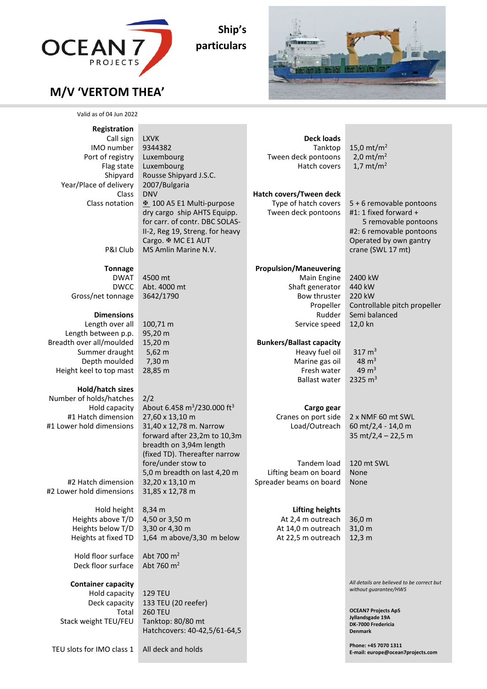

**Ship's particulars**



## **M/V 'VERTOM THEA'**

| Valid as of 04 Jun 2022                                                                                                                    |                                                                                                                                                                                                      |                                                                                                                             |                                                                                                                                                               |
|--------------------------------------------------------------------------------------------------------------------------------------------|------------------------------------------------------------------------------------------------------------------------------------------------------------------------------------------------------|-----------------------------------------------------------------------------------------------------------------------------|---------------------------------------------------------------------------------------------------------------------------------------------------------------|
| Registration<br>Call sign<br>IMO number<br>Port of registry<br>Flag state<br>Shipyard<br>Year/Place of delivery<br>Class<br>Class notation | <b>LXVK</b><br>9344382<br>Luxembourg<br>Luxembourg<br>Rousse Shipyard J.S.C.<br>2007/Bulgaria<br><b>DNV</b><br>₺ 100 A5 E1 Multi-purpose                                                             | <b>Deck loads</b><br>Tanktop<br>Tween deck pontoons<br>Hatch covers<br>Hatch covers/Tween deck<br>Type of hatch covers      | 15,0 $mt/m2$<br>2,0 $mt/m2$<br>1,7 $mt/m2$<br>5 + 6 removable pontoons                                                                                        |
| P&I Club                                                                                                                                   | dry cargo ship AHTS Equipp.<br>for carr. of contr. DBC SOLAS-<br>II-2, Reg 19, Streng. for heavy<br>Cargo. <b>EMC E1 AUT</b><br>MS Amlin Marine N.V.                                                 | Tween deck pontoons                                                                                                         | #1: 1 fixed forward $+$<br>5 removable pontoons<br>#2: 6 removable pontoons<br>Operated by own gantry<br>crane (SWL 17 mt)                                    |
| <b>Tonnage</b><br><b>DWAT</b><br><b>DWCC</b><br>Gross/net tonnage<br><b>Dimensions</b>                                                     | 4500 mt<br>Abt. 4000 mt<br>3642/1790                                                                                                                                                                 | <b>Propulsion/Maneuvering</b><br>Main Engine<br>Shaft generator<br>Bow thruster<br>Propeller<br>Rudder                      | 2400 kW<br>440 kW<br>220 kW<br>Controllable pitch propeller<br>Semi balanced                                                                                  |
| Length over all<br>Length between p.p.<br>Breadth over all/moulded<br>Summer draught<br>Depth moulded<br>Height keel to top mast           | 100,71 m<br>95,20 m<br>15,20 m<br>$5,62 \, m$<br>7,30 m<br>28,85 m                                                                                                                                   | Service speed<br><b>Bunkers/Ballast capacity</b><br>Heavy fuel oil<br>Marine gas oil<br>Fresh water<br><b>Ballast water</b> | 12,0 kn<br>317 $m3$<br>$48 \text{ m}^3$<br>49 $m3$<br>2325 $m3$                                                                                               |
| Hold/hatch sizes<br>Number of holds/hatches<br>Hold capacity<br>#1 Hatch dimension<br>#1 Lower hold dimensions                             | 2/2<br>About 6.458 m <sup>3</sup> /230.000 ft <sup>3</sup><br>27,60 x 13,10 m<br>31,40 x 12,78 m. Narrow<br>forward after 23,2m to 10,3m<br>breadth on 3,94m length<br>(fixed TD). Thereafter narrow | Cargo gear<br>Cranes on port side<br>Load/Outreach                                                                          | 2 x NMF 60 mt SWL<br>60 mt/2,4 - 14,0 m<br>35 mt/2,4 - 22,5 m                                                                                                 |
| #2 Hatch dimension<br>#2 Lower hold dimensions                                                                                             | fore/under stow to<br>5,0 m breadth on last 4,20 m<br>32,20 x 13,10 m<br>31,85 x 12,78 m                                                                                                             | <b>Tandem load</b><br>Lifting beam on board<br>Spreader beams on board                                                      | 120 mt SWL<br>None<br>None                                                                                                                                    |
| Hold height<br>Heights above T/D<br>Heights below T/D<br>Heights at fixed TD                                                               | 8,34 m<br>4,50 or 3,50 m<br>3,30 or 4,30 m<br>1,64 m above/3,30 m below                                                                                                                              | <b>Lifting heights</b><br>At 2,4 m outreach<br>At 14,0 m outreach<br>At 22,5 m outreach                                     | 36,0 m<br>31,0 m<br>12,3 m                                                                                                                                    |
| Hold floor surface<br>Deck floor surface                                                                                                   | Abt 700 m <sup>2</sup><br>Abt 760 m <sup>2</sup>                                                                                                                                                     |                                                                                                                             |                                                                                                                                                               |
| <b>Container capacity</b><br>Hold capacity<br>Deck capacity<br>Total<br>Stack weight TEU/FEU                                               | <b>129 TEU</b><br>133 TEU (20 reefer)<br><b>260 TEU</b><br>Tanktop: 80/80 mt<br>Hatchcovers: 40-42,5/61-64,5                                                                                         |                                                                                                                             | All details are believed to be correct but<br>without guarantee/HWS<br><b>OCEAN7 Projects ApS</b><br>Jyllandsgade 19A<br>DK-7000 Fredericia<br><b>Denmark</b> |
| TEU slots for IMO class 1                                                                                                                  | All deck and holds                                                                                                                                                                                   |                                                                                                                             | Phone: +45 7070 1311<br>E-mail: europe@ocean7projects.com                                                                                                     |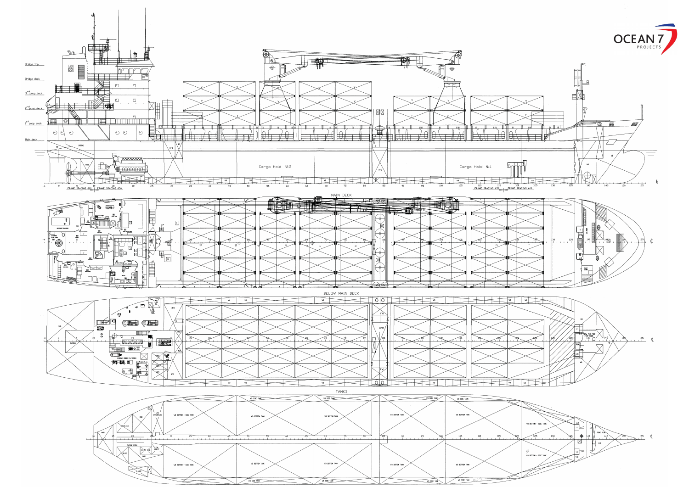

VE SIDE TANK